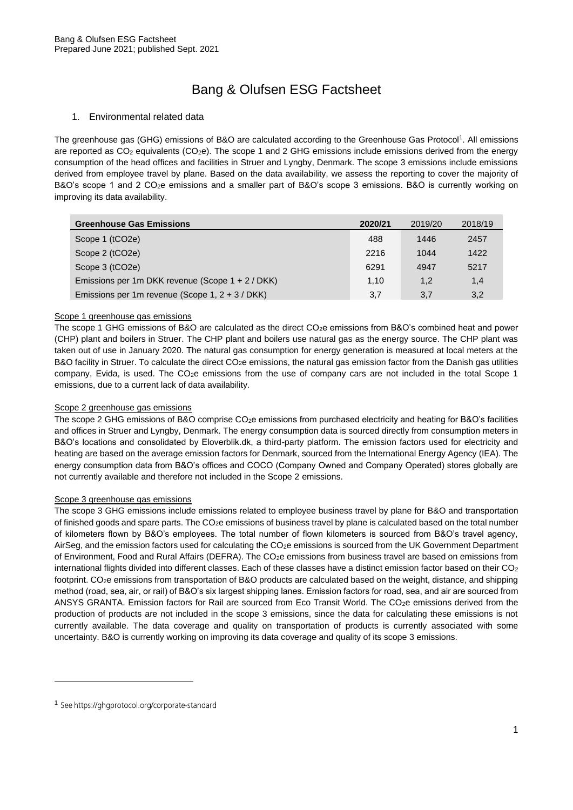# Bang & Olufsen ESG Factsheet

### 1. Environmental related data

The greenhouse gas (GHG) emissions of B&O are calculated according to the Greenhouse Gas Protocol<sup>1</sup>. All emissions are reported as CO<sub>2</sub> equivalents (CO<sub>2</sub>e). The scope 1 and 2 GHG emissions include emissions derived from the energy consumption of the head offices and facilities in Struer and Lyngby, Denmark. The scope 3 emissions include emissions derived from employee travel by plane. Based on the data availability, we assess the reporting to cover the majority of B&O's scope 1 and 2 CO<sub>2</sub>e emissions and a smaller part of B&O's scope 3 emissions. B&O is currently working on improving its data availability.

| <b>Greenhouse Gas Emissions</b>                   | 2020/21 | 2019/20 | 2018/19 |
|---------------------------------------------------|---------|---------|---------|
| Scope 1 (tCO2e)                                   | 488     | 1446    | 2457    |
| Scope 2 (tCO2e)                                   | 2216    | 1044    | 1422    |
| Scope 3 (tCO2e)                                   | 6291    | 4947    | 5217    |
| Emissions per 1m DKK revenue (Scope 1 + 2 / DKK)  | 1.10    | 1,2     | 1,4     |
| Emissions per 1m revenue (Scope 1, $2 + 3$ / DKK) | 3.7     | 3,7     | 3,2     |

#### Scope 1 greenhouse gas emissions

The scope 1 GHG emissions of B&O are calculated as the direct CO<sub>2</sub>e emissions from B&O's combined heat and power (CHP) plant and boilers in Struer. The CHP plant and boilers use natural gas as the energy source. The CHP plant was taken out of use in January 2020. The natural gas consumption for energy generation is measured at local meters at the B&O facility in Struer. To calculate the direct CO<sub>2</sub>e emissions, the natural gas emission factor from the Danish gas utilities company, Evida, is used. The CO<sub>2</sub>e emissions from the use of company cars are not included in the total Scope 1 emissions, due to a current lack of data availability.

#### Scope 2 greenhouse gas emissions

The scope 2 GHG emissions of B&O comprise CO<sub>2</sub>e emissions from purchased electricity and heating for B&O's facilities and offices in Struer and Lyngby, Denmark. The energy consumption data is sourced directly from consumption meters in B&O's locations and consolidated by Eloverblik.dk, a third-party platform. The emission factors used for electricity and heating are based on the average emission factors for Denmark, sourced from the International Energy Agency (IEA). The energy consumption data from B&O's offices and COCO (Company Owned and Company Operated) stores globally are not currently available and therefore not included in the Scope 2 emissions.

#### Scope 3 greenhouse gas emissions

The scope 3 GHG emissions include emissions related to employee business travel by plane for B&O and transportation of finished goods and spare parts. The  $CO<sub>2</sub>e$  emissions of business travel by plane is calculated based on the total number of kilometers flown by B&O's employees. The total number of flown kilometers is sourced from B&O's travel agency, AirSeg, and the emission factors used for calculating the CO<sub>2</sub>e emissions is sourced from the UK Government Department of Environment, Food and Rural Affairs (DEFRA). The CO<sub>2</sub>e emissions from business travel are based on emissions from international flights divided into different classes. Each of these classes have a distinct emission factor based on their CO<sup>2</sup> footprint. CO2e emissions from transportation of B&O products are calculated based on the weight, distance, and shipping method (road, sea, air, or rail) of B&O's six largest shipping lanes. Emission factors for road, sea, and air are sourced from ANSYS GRANTA. Emission factors for Rail are sourced from Eco Transit World. The CO2e emissions derived from the production of products are not included in the scope 3 emissions, since the data for calculating these emissions is not currently available. The data coverage and quality on transportation of products is currently associated with some uncertainty. B&O is currently working on improving its data coverage and quality of its scope 3 emissions.

<sup>&</sup>lt;sup>1</sup> See https://ghgprotocol.org/corporate-standard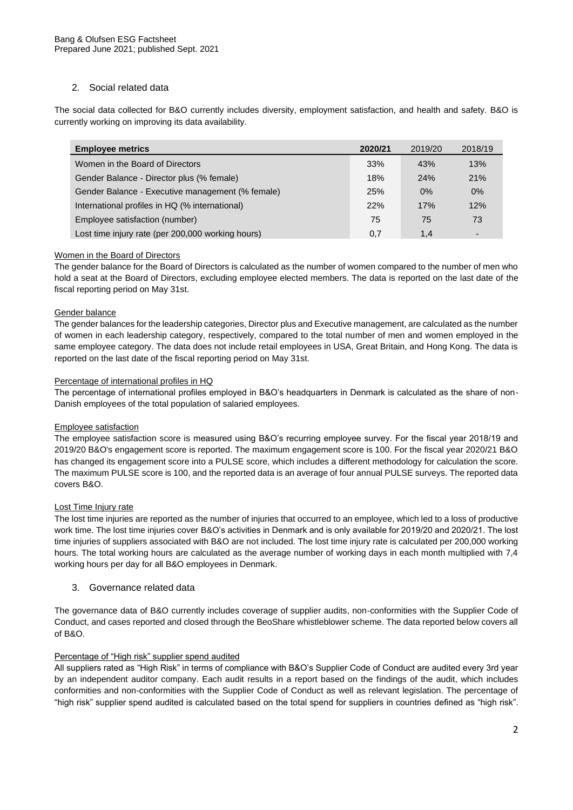## 2. Social related data

The social data collected for B&O currently includes diversity, employment satisfaction, and health and safety. B&O is currently working on improving its data availability.

| <b>Employee metrics</b>                           | 2020/21    | 2019/20    | 2018/19 |
|---------------------------------------------------|------------|------------|---------|
| Women in the Board of Directors                   | 33%        | 43%        | 13%     |
| Gender Balance - Director plus (% female)         | 18%        | <b>24%</b> | 21%     |
| Gender Balance - Executive management (% female)  | <b>25%</b> | $0\%$      | 0%      |
| International profiles in HQ (% international)    | 22%        | 17%        | 12%     |
| Employee satisfaction (number)                    | 75         | 75         | 73      |
| Lost time injury rate (per 200,000 working hours) | 0.7        | 1.4        | -       |

## Women in the Board of Directors

The gender balance for the Board of Directors is calculated as the number of women compared to the number of men who hold a seat at the Board of Directors, excluding employee elected members. The data is reported on the last date of the fiscal reporting period on May 31st.

## Gender balance

The gender balances for the leadership categories, Director plus and Executive management, are calculated as the number of women in each leadership category, respectively, compared to the total number of men and women employed in the same employee category. The data does not include retail employees in USA, Great Britain, and Hong Kong. The data is reported on the last date of the fiscal reporting period on May 31st.

#### Percentage of international profiles in HQ

The percentage of international profiles employed in B&O's headquarters in Denmark is calculated as the share of non-Danish employees of the total population of salaried employees.

#### Employee satisfaction

The employee satisfaction score is measured using B&O's recurring employee survey. For the fiscal year 2018/19 and 2019/20 B&O's engagement score is reported. The maximum engagement score is 100. For the fiscal year 2020/21 B&O has changed its engagement score into a PULSE score, which includes a different methodology for calculation the score. The maximum PULSE score is 100, and the reported data is an average of four annual PULSE surveys. The reported data covers B&O.

#### Lost Time Injury rate

The lost time injuries are reported as the number of injuries that occurred to an employee, which led to a loss of productive work time. The lost time injuries cover B&O's activities in Denmark and is only available for 2019/20 and 2020/21. The lost time injuries of suppliers associated with B&O are not included. The lost time injury rate is calculated per 200,000 working hours. The total working hours are calculated as the average number of working days in each month multiplied with 7,4 working hours per day for all B&O employees in Denmark.

#### 3. Governance related data

The governance data of B&O currently includes coverage of supplier audits, non-conformities with the Supplier Code of Conduct, and cases reported and closed through the BeoShare whistleblower scheme. The data reported below covers all of B&O.

#### Percentage of "High risk" supplier spend audited

All suppliers rated as "High Risk" in terms of compliance with B&O's Supplier Code of Conduct are audited every 3rd year by an independent auditor company. Each audit results in a report based on the findings of the audit, which includes conformities and non-conformities with the Supplier Code of Conduct as well as relevant legislation. The percentage of "high risk" supplier spend audited is calculated based on the total spend for suppliers in countries defined as "high risk".